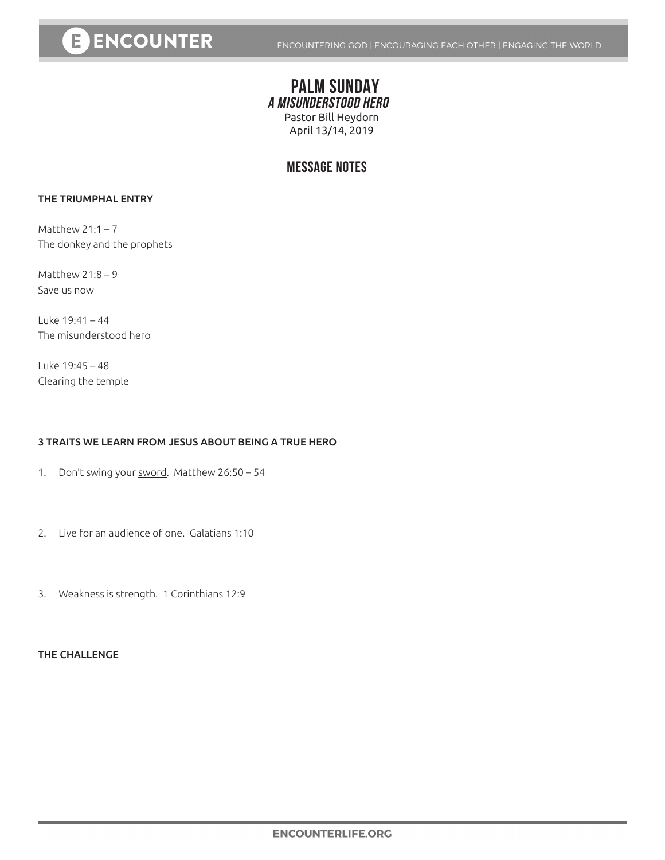# **E ENCOUNTER**

## **PALM SUNDAY A MISUNDERSTOOD HERO** Pastor Bill Heydorn April 13/14, 2019

## **MESSAGE NOTES**

### THE TRIUMPHAL ENTRY

Matthew  $21:1 - 7$ The donkey and the prophets

Matthew 21:8 – 9 Save us now

Luke 19:41 – 44 The misunderstood hero

Luke 19:45 – 48 Clearing the temple

### 3 TRAITS WE LEARN FROM JESUS ABOUT BEING A TRUE HERO

1. Don't swing your sword. Matthew 26:50 - 54

- 2. Live for an audience of one. Galatians 1:10
- 3. Weakness is strength. 1 Corinthians 12:9

#### THE CHALLENGE